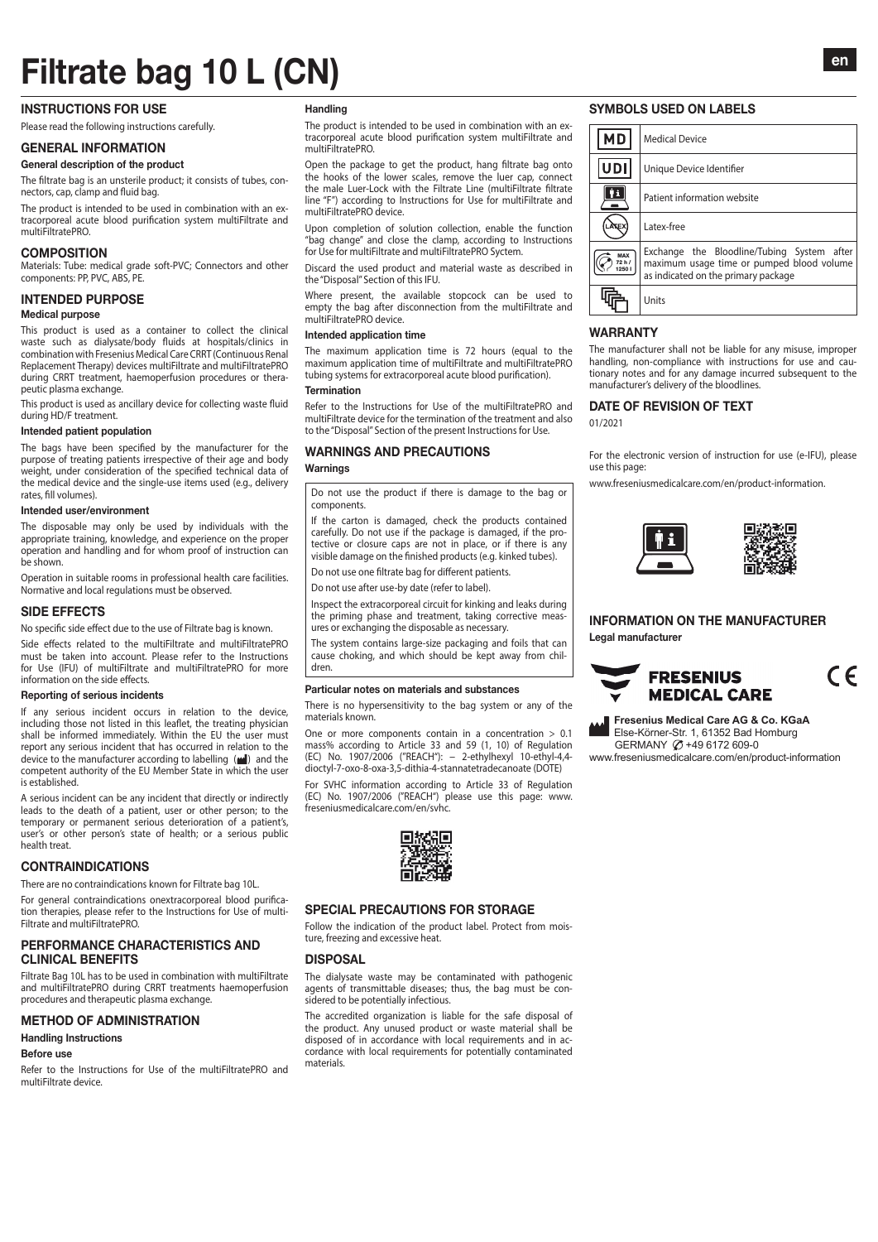# Filtrate bag 10 L (CN)

#### INSTRUCTIONS FOR USE

Please read the following instructions carefully.

#### GENERAL INFORMATION

General description of the product

The filtrate bag is an unsterile product; it consists of tubes, connectors, cap, clamp and fluid bag.

The product is intended to be used in combination with an extracorporeal acute blood purification system multiFiltrate and multiFiltratePRO.

#### **COMPOSITION**

Materials: Tube: medical grade soft-PVC; Connectors and other components: PP, PVC, ABS, PE.

#### INTENDED PURPOSE

#### Medical purpose

This product is used as a container to collect the clinical waste such as dialysate/body fluids at hospitals/clinics in combination with Fresenius Medical Care CRRT (Continuous Renal Replacement Therapy) devices multiFiltrate and multiFiltratePRO during CRRT treatment, haemoperfusion procedures or therapeutic plasma exchange.

This product is used as ancillary device for collecting waste fluid during HD/F treatment.

#### Intended patient population

The bags have been specified by the manufacturer for the purpose of treating patients irrespective of their age and body weight, under consideration of the specified technical data of the medical device and the single-use items used (e.g., delivery rates, fill volumes).

#### Intended user/environment

The disposable may only be used by individuals with the appropriate training, knowledge, and experience on the proper operation and handling and for whom proof of instruction can be shown.

Operation in suitable rooms in professional health care facilities. Normative and local regulations must be observed.

#### SIDE EFFECTS

No specific side effect due to the use of Filtrate bag is known. Side effects related to the multiFiltrate and multiFiltratePRO

must be taken into account. Please refer to the Instructions for Use (IFU) of multiFiltrate and multiFiltratePRO for more information on the side effects.

#### Reporting of serious incidents

If any serious incident occurs in relation to the device, including those not listed in this leaflet, the treating physician shall be informed immediately. Within the EU the user must report any serious incident that has occurred in relation to the device to the manufacturer according to labelling (w) and the<br>competent authority of the EU Member State in which the user is established.

A serious incident can be any incident that directly or indirectly leads to the death of a patient, user or other person; to the temporary or permanent serious deterioration of a patient's, user's or other person's state of health; or a serious public health treat.

# **CONTRAINDICATIONS**

There are no contraindications known for Filtrate bag 10L.

For general contraindications onextracorporeal blood purification therapies, please refer to the Instructions for Use of multi-Filtrate and multiFiltratePRO.

#### PERFORMANCE CHARACTERISTICS AND CLINICAL BENEFITS

Filtrate Bag 10L has to be used in combination with multiFiltrate and multiFiltratePRO during CRRT treatments haemoperfusion procedures and therapeutic plasma exchange.

#### METHOD OF ADMINISTRATION

#### Handling Instructions

#### Before use

Refer to the Instructions for Use of the multiFiltratePRO and multiFiltrate device.

#### Handling

The product is intended to be used in combination with an extracorporeal acute blood purification system multiFiltrate and multiFiltratePRO.

Open the package to get the product, hang filtrate bag onto the hooks of the lower scales, remove the luer cap, connect the male Luer-Lock with the Filtrate Line (multiFiltrate filtrate line "F") according to Instructions for Use for multiFiltrate and multiFiltratePRO device.

Upon completion of solution collection, enable the function "bag change" and close the clamp, according to Instructions for Use for multiFiltrate and multiFiltratePRO Syctem.

Discard the used product and material waste as described in the "Disposal" Section of this IFU.

Where present, the available stopcock can be used to empty the bag after disconnection from the multiFiltrate and multiFiltratePRO device.

#### Intended application time

The maximum application time is 72 hours (equal to the maximum application time of multiFiltrate and multiFiltratePRO tubing systems for extracorporeal acute blood purification).

#### **Termination**

Refer to the Instructions for Use of the multiFiltratePRO and multiFiltrate device for the termination of the treatment and also to the "Disposal" Section of the present Instructions for Use.

#### WARNINGS AND PRECAUTIONS Warnings

Do not use the product if there is damage to the bag or components.

If the carton is damaged, check the products contained carefully. Do not use if the package is damaged, if the protective or closure caps are not in place, or if there is any visible damage on the finished products (e.g. kinked tubes).

Do not use one filtrate bag for different patients.

Do not use after use-by date (refer to label).

Inspect the extracorporeal circuit for kinking and leaks during the priming phase and treatment, taking corrective measures or exchanging the disposable as necessary.

The system contains large-size packaging and foils that can cause choking, and which should be kept away from children.

#### Particular notes on materials and substances

There is no hypersensitivity to the bag system or any of the materials known.

One or more components contain in a concentration > 0.1 mass% according to Article 33 and 59 (1, 10) of Regulation (EC) No. 1907/2006 ("REACH"): − 2-ethylhexyl 10-ethyl-4,4 dioctyl-7-oxo-8-oxa-3,5-dithia-4-stannatetradecanoate (DOTE)

For SVHC information according to Article 33 of Regulation (EC) No. 1907/2006 ("REACH") please use this page: www. freseniusmedicalcare.com/en/svhc.



# SPECIAL PRECAUTIONS FOR STORAGE

Follow the indication of the product label. Protect from moisture, freezing and excessive heat.

#### DISPOSAL

The dialysate waste may be contaminated with pathogenic agents of transmittable diseases; thus, the bag must be considered to be potentially infectious.

The accredited organization is liable for the safe disposal of the product. Any unused product or waste material shall be disposed of in accordance with local requirements and in accordance with local requirements for potentially contaminated materials.

# SYMBOLS USED ON LABELS

| <b>MD</b>            | <b>Medical Device</b>                                                                                                          |
|----------------------|--------------------------------------------------------------------------------------------------------------------------------|
| UDI                  | Unique Device Identifier                                                                                                       |
| ∥i                   | Patient information website                                                                                                    |
|                      | Latex-free                                                                                                                     |
| MAX<br>72h/<br>12501 | Exchange the Bloodline/Tubing System after<br>maximum usage time or pumped blood volume<br>as indicated on the primary package |
|                      | Units                                                                                                                          |

#### WARRANTY

The manufacturer shall not be liable for any misuse, improper handling, non-compliance with instructions for use and cautionary notes and for any damage incurred subsequent to the manufacturer's delivery of the bloodlines.

#### DATE OF REVISION OF TEXT

01/2021

For the electronic version of instruction for use (e-IFU), please use this page:

www.freseniusmedicalcare.com/en/product-information.



#### INFORMATION ON THE MANUFACTURER Legal manufacturer



**Fresenius Medical Care AG & Co. KGaA** Else-Körner-Str. 1, 61352 Bad Homburg GERMANY  $\oslash$  +49 6172 609-0 www.freseniusmedicalcare.com/en/product-information